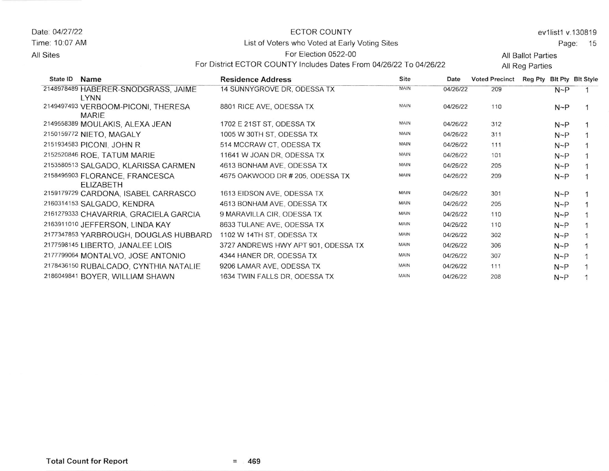Date: 04127122 Time: 10.07 AM

## ECTOR COUNTY

For District ECTOR COUNTY lncludes Dates From 04126122 To 04126122

ev1list1 v.130819

Page: <sup>15</sup>

List of Voters who Voted at Early Voting Sites

## For Election 0522-00

All Ballot Parties All Reg Parties

| Name<br>State ID                                   | <b>Residence Address</b>            | Site        | Date     | <b>Voted Precinct</b> | <b>Reg Pty</b> |            | <b>Bit Pty Bit Style</b> |
|----------------------------------------------------|-------------------------------------|-------------|----------|-----------------------|----------------|------------|--------------------------|
| 2148978489 HABERER-SNODGRASS, JAIME<br><b>LYNN</b> | 14 SUNNYGROVE DR, ODESSA TX         | MAIN        | 04/26/22 | 209                   |                | $N \sim P$ |                          |
| 2149497493 VERBOOM-PICONI, THERESA<br><b>MARIE</b> | 8801 RICE AVE, ODESSA TX            | <b>MAIN</b> | 04/26/22 | 110                   |                | $N \sim P$ |                          |
| 2149558389 MOULAKIS, ALEXA JEAN                    | 1702 E 21ST ST, ODESSA TX           | <b>MAIN</b> | 04/26/22 | 312                   |                | $N \sim P$ |                          |
| 2150159772 NIETO, MAGALY                           | 1005 W 30TH ST, ODESSA TX           | MAIN        | 04/26/22 | 311                   |                | $N \sim P$ |                          |
| 2151934583 PICONI, JOHN R                          | 514 MCCRAW CT, ODESSA TX            | MAIN        | 04/26/22 | 111                   |                | $N \sim P$ |                          |
| 2152520846 ROE, TATUM MARIE                        | 11641 W JOAN DR, ODESSA TX          | MAIN        | 04/26/22 | 101                   |                | $N \sim P$ |                          |
| 2153580513 SALGADO, KLARISSA CARMEN                | 4613 BONHAM AVE, ODESSA TX          | MAIN        | 04/26/22 | 205                   |                | $N \sim P$ |                          |
| 2158495903 FLORANCE, FRANCESCA<br><b>ELIZABETH</b> | 4675 OAKWOOD DR # 205, ODESSA TX    | MAIN        | 04/26/22 | 209                   |                | $N \sim P$ |                          |
| 2159179729 CARDONA, ISABEL CARRASCO                | 1613 EIDSON AVE, ODESSA TX          | MAIN        | 04/26/22 | 301                   |                | $N \sim P$ |                          |
| 2160314153 SALGADO, KENDRA                         | 4613 BONHAM AVE, ODESSA TX          | <b>MAIN</b> | 04/26/22 | 205                   |                | $N \sim P$ |                          |
| 2161279333 CHAVARRIA, GRACIELA GARCIA              | 9 MARAVILLA CIR, ODESSA TX          | MAIN        | 04/26/22 | 110                   |                | $N \sim P$ |                          |
| 2163911010 JEFFERSON, LINDA KAY                    | 8633 TULANE AVE, ODESSA TX          | MAIN        | 04/26/22 | 110                   |                | $N \sim P$ |                          |
| 2177347853 YARBROUGH, DOUGLAS HUBBARD              | 1102 W 14TH ST, ODESSA TX           | MAIN        | 04/26/22 | 302                   |                | $N \sim P$ |                          |
| 2177598145 LIBERTO, JANALEE LOIS                   | 3727 ANDREWS HWY APT 901, ODESSA TX | MAIN        | 04/26/22 | 306                   |                | $N \sim P$ |                          |
| 2177799064 MONTALVO, JOSE ANTONIO                  | 4344 HANER DR, ODESSA TX            | <b>MAIN</b> | 04/26/22 | 307                   |                | $N \sim P$ |                          |
| 2178436150 RUBALCADO, CYNTHIA NATALIE              | 9206 LAMAR AVE, ODESSA TX           | <b>MAIN</b> | 04/26/22 | 111                   |                | N~P        |                          |
| 2186049841 BOYER, WILLIAM SHAWN                    | 1634 TWIN FALLS DR, ODESSA TX       | MAIN        | 04/26/22 | 208                   |                | $N \sim P$ |                          |

All Sites